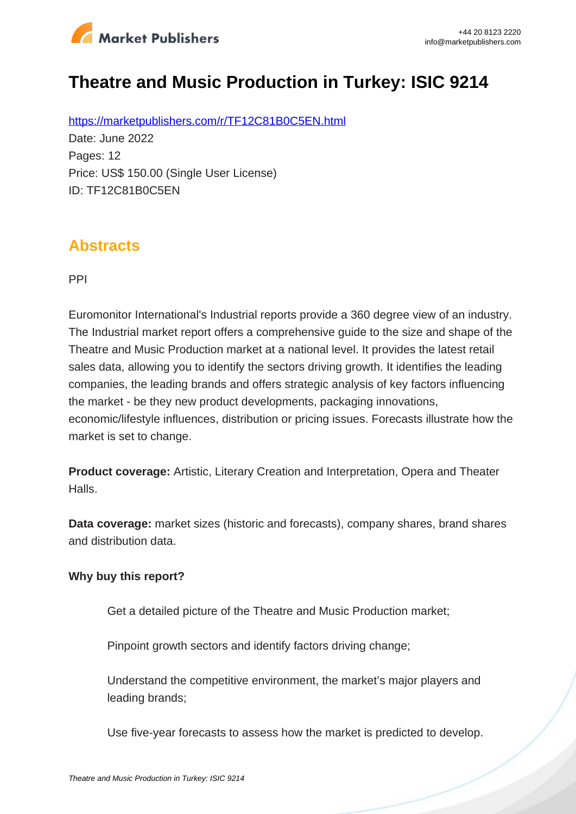

# **Theatre and Music Production in Turkey: ISIC 9214**

https://marketpublishers.com/r/TF12C81B0C5EN.html Date: June 2022 Pages: 12 Price: US\$ 150.00 (Single User License) ID: TF12C81B0C5EN

### **Abstracts**

PPI

Euromonitor International's Industrial reports provide a 360 degree view of an industry. The Industrial market report offers a comprehensive guide to the size and shape of the Theatre and Music Production market at a national level. It provides the latest retail sales data, allowing you to identify the sectors driving growth. It identifies the leading companies, the leading brands and offers strategic analysis of key factors influencing the market - be they new product developments, packaging innovations, economic/lifestyle influences, distribution or pricing issues. Forecasts illustrate how the market is set to change.

**Product coverage:** Artistic, Literary Creation and Interpretation, Opera and Theater Halls.

**Data coverage:** market sizes (historic and forecasts), company shares, brand shares and distribution data.

#### **Why buy this report?**

Get a detailed picture of the Theatre and Music Production market;

Pinpoint growth sectors and identify factors driving change;

Understand the competitive environment, the market's major players and leading brands;

Use five-year forecasts to assess how the market is predicted to develop.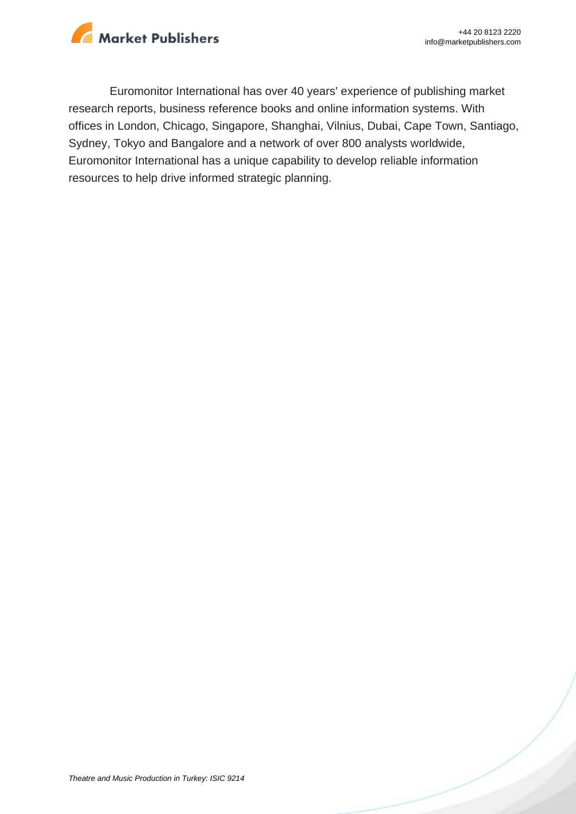

Euromonitor International has over 40 years' experience of publishing market research reports, business reference books and online information systems. With offices in London, Chicago, Singapore, Shanghai, Vilnius, Dubai, Cape Town, Santiago, Sydney, Tokyo and Bangalore and a network of over 800 analysts worldwide, Euromonitor International has a unique capability to develop reliable information resources to help drive informed strategic planning.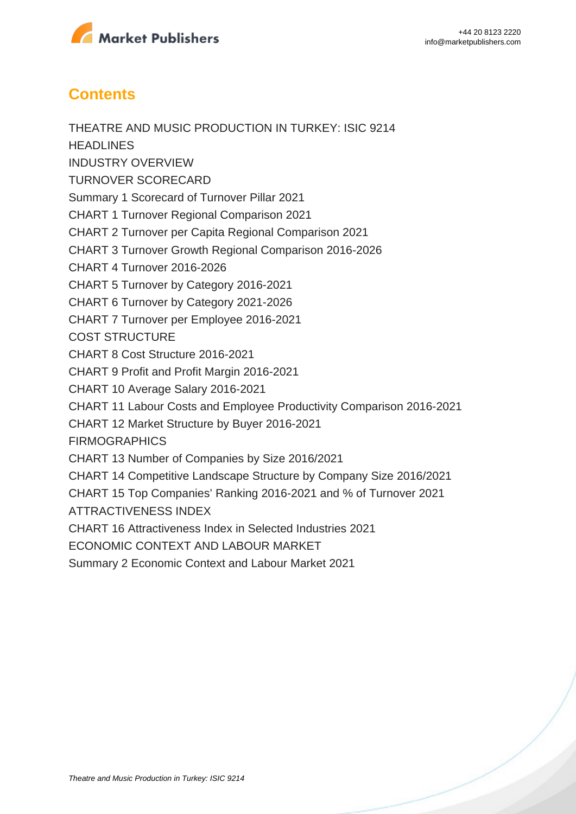

## **Contents**

THEATRE AND MUSIC PRODUCTION IN TURKEY: ISIC 9214 **HEADLINES** INDUSTRY OVERVIEW TURNOVER SCORECARD Summary 1 Scorecard of Turnover Pillar 2021 CHART 1 Turnover Regional Comparison 2021 CHART 2 Turnover per Capita Regional Comparison 2021 CHART 3 Turnover Growth Regional Comparison 2016-2026 CHART 4 Turnover 2016-2026 CHART 5 Turnover by Category 2016-2021 CHART 6 Turnover by Category 2021-2026 CHART 7 Turnover per Employee 2016-2021 COST STRUCTURE CHART 8 Cost Structure 2016-2021 CHART 9 Profit and Profit Margin 2016-2021 CHART 10 Average Salary 2016-2021 CHART 11 Labour Costs and Employee Productivity Comparison 2016-2021 CHART 12 Market Structure by Buyer 2016-2021 **FIRMOGRAPHICS** CHART 13 Number of Companies by Size 2016/2021 CHART 14 Competitive Landscape Structure by Company Size 2016/2021 CHART 15 Top Companies' Ranking 2016-2021 and % of Turnover 2021 ATTRACTIVENESS INDEX CHART 16 Attractiveness Index in Selected Industries 2021 ECONOMIC CONTEXT AND LABOUR MARKET Summary 2 Economic Context and Labour Market 2021